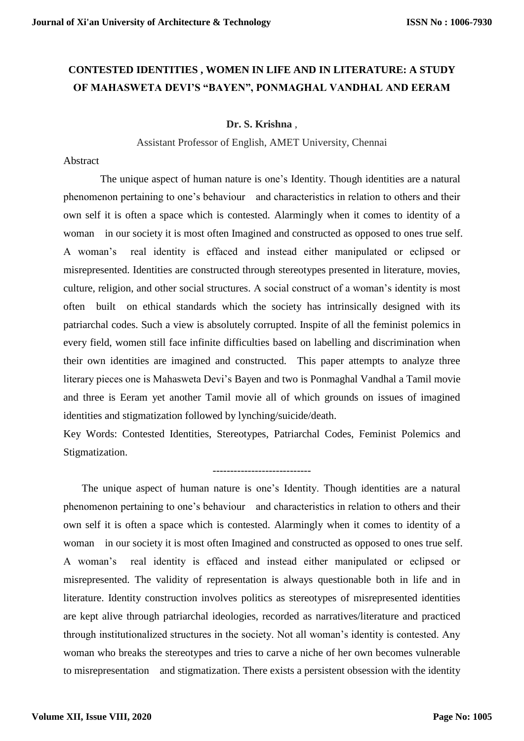# **CONTESTED IDENTITIES , WOMEN IN LIFE AND IN LITERATURE: A STUDY OF MAHASWETA DEVI'S "BAYEN", PONMAGHAL VANDHAL AND EERAM**

#### **Dr. S. Krishna** ,

Assistant Professor of English, AMET University, Chennai

#### Abstract

 The unique aspect of human nature is one's Identity. Though identities are a natural phenomenon pertaining to one's behaviour and characteristics in relation to others and their own self it is often a space which is contested. Alarmingly when it comes to identity of a woman in our society it is most often Imagined and constructed as opposed to ones true self. A woman's real identity is effaced and instead either manipulated or eclipsed or misrepresented. Identities are constructed through stereotypes presented in literature, movies, culture, religion, and other social structures. A social construct of a woman's identity is most often built on ethical standards which the society has intrinsically designed with its patriarchal codes. Such a view is absolutely corrupted. Inspite of all the feminist polemics in every field, women still face infinite difficulties based on labelling and discrimination when their own identities are imagined and constructed. This paper attempts to analyze three literary pieces one is Mahasweta Devi's Bayen and two is Ponmaghal Vandhal a Tamil movie and three is Eeram yet another Tamil movie all of which grounds on issues of imagined identities and stigmatization followed by lynching/suicide/death.

Key Words: Contested Identities, Stereotypes, Patriarchal Codes, Feminist Polemics and Stigmatization.

## ----------------------------

The unique aspect of human nature is one's Identity. Though identities are a natural phenomenon pertaining to one's behaviour and characteristics in relation to others and their own self it is often a space which is contested. Alarmingly when it comes to identity of a woman in our society it is most often Imagined and constructed as opposed to ones true self. A woman's real identity is effaced and instead either manipulated or eclipsed or misrepresented. The validity of representation is always questionable both in life and in literature. Identity construction involves politics as stereotypes of misrepresented identities are kept alive through patriarchal ideologies, recorded as narratives/literature and practiced through institutionalized structures in the society. Not all woman's identity is contested. Any woman who breaks the stereotypes and tries to carve a niche of her own becomes vulnerable to misrepresentation and stigmatization. There exists a persistent obsession with the identity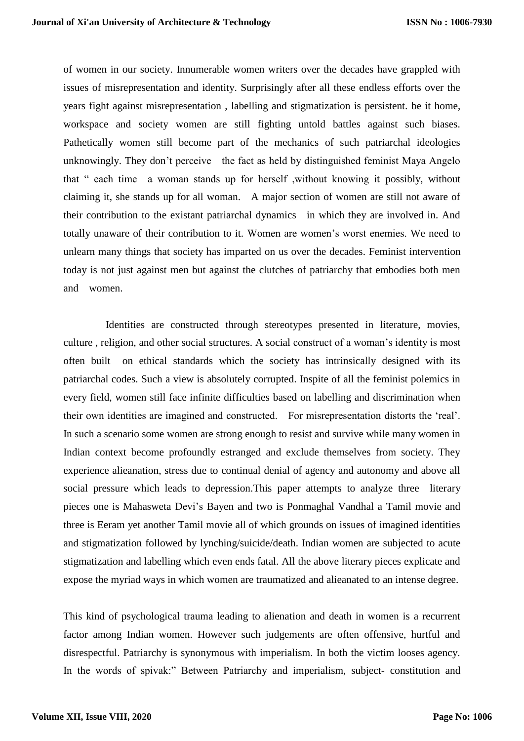of women in our society. Innumerable women writers over the decades have grappled with issues of misrepresentation and identity. Surprisingly after all these endless efforts over the years fight against misrepresentation , labelling and stigmatization is persistent. be it home, workspace and society women are still fighting untold battles against such biases. Pathetically women still become part of the mechanics of such patriarchal ideologies unknowingly. They don't perceive the fact as held by distinguished feminist Maya Angelo that " each time a woman stands up for herself ,without knowing it possibly, without claiming it, she stands up for all woman. A major section of women are still not aware of their contribution to the existant patriarchal dynamics in which they are involved in. And totally unaware of their contribution to it. Women are women's worst enemies. We need to unlearn many things that society has imparted on us over the decades. Feminist intervention today is not just against men but against the clutches of patriarchy that embodies both men and women.

 Identities are constructed through stereotypes presented in literature, movies, culture , religion, and other social structures. A social construct of a woman's identity is most often built on ethical standards which the society has intrinsically designed with its patriarchal codes. Such a view is absolutely corrupted. Inspite of all the feminist polemics in every field, women still face infinite difficulties based on labelling and discrimination when their own identities are imagined and constructed. For misrepresentation distorts the 'real'. In such a scenario some women are strong enough to resist and survive while many women in Indian context become profoundly estranged and exclude themselves from society. They experience alieanation, stress due to continual denial of agency and autonomy and above all social pressure which leads to depression.This paper attempts to analyze three literary pieces one is Mahasweta Devi's Bayen and two is Ponmaghal Vandhal a Tamil movie and three is Eeram yet another Tamil movie all of which grounds on issues of imagined identities and stigmatization followed by lynching/suicide/death. Indian women are subjected to acute stigmatization and labelling which even ends fatal. All the above literary pieces explicate and expose the myriad ways in which women are traumatized and alieanated to an intense degree.

This kind of psychological trauma leading to alienation and death in women is a recurrent factor among Indian women. However such judgements are often offensive, hurtful and disrespectful. Patriarchy is synonymous with imperialism. In both the victim looses agency. In the words of spivak:" Between Patriarchy and imperialism, subject- constitution and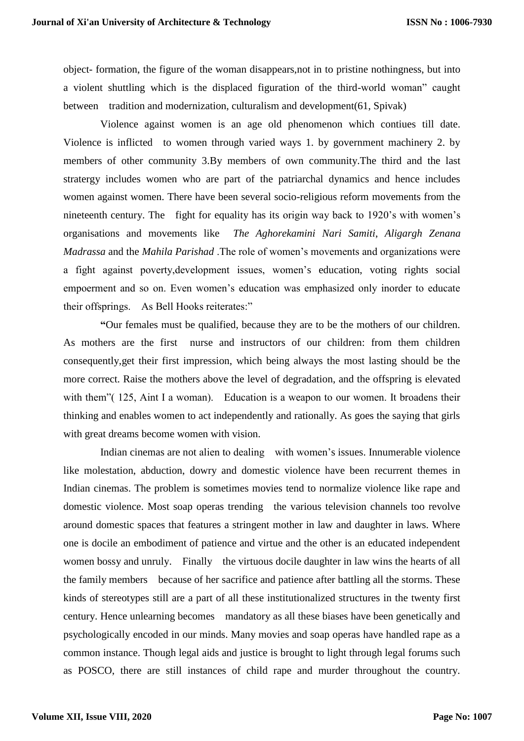object- formation, the figure of the woman disappears,not in to pristine nothingness, but into a violent shuttling which is the displaced figuration of the third-world woman" caught between tradition and modernization, culturalism and development(61, Spivak)

Violence against women is an age old phenomenon which contiues till date. Violence is inflicted to women through varied ways 1. by government machinery 2. by members of other community 3.By members of own community.The third and the last stratergy includes women who are part of the patriarchal dynamics and hence includes women against women. There have been several socio-religious reform movements from the nineteenth century. The fight for equality has its origin way back to 1920's with women's organisations and movements like *The Aghorekamini Nari Samiti*, *Aligargh Zenana Madrassa* and the *Mahila Parishad* .The role of women's movements and organizations were a fight against poverty,development issues, women's education, voting rights social empoerment and so on. Even women's education was emphasized only inorder to educate their offsprings. As Bell Hooks reiterates:"

**"**Our females must be qualified, because they are to be the mothers of our children. As mothers are the first nurse and instructors of our children: from them children consequently,get their first impression, which being always the most lasting should be the more correct. Raise the mothers above the level of degradation, and the offspring is elevated with them" (125, Aint I a woman). Education is a weapon to our women. It broadens their thinking and enables women to act independently and rationally. As goes the saying that girls with great dreams become women with vision.

Indian cinemas are not alien to dealing with women's issues. Innumerable violence like molestation, abduction, dowry and domestic violence have been recurrent themes in Indian cinemas. The problem is sometimes movies tend to normalize violence like rape and domestic violence. Most soap operas trending the various television channels too revolve around domestic spaces that features a stringent mother in law and daughter in laws. Where one is docile an embodiment of patience and virtue and the other is an educated independent women bossy and unruly. Finally the virtuous docile daughter in law wins the hearts of all the family members because of her sacrifice and patience after battling all the storms. These kinds of stereotypes still are a part of all these institutionalized structures in the twenty first century. Hence unlearning becomes mandatory as all these biases have been genetically and psychologically encoded in our minds. Many movies and soap operas have handled rape as a common instance. Though legal aids and justice is brought to light through legal forums such as POSCO, there are still instances of child rape and murder throughout the country.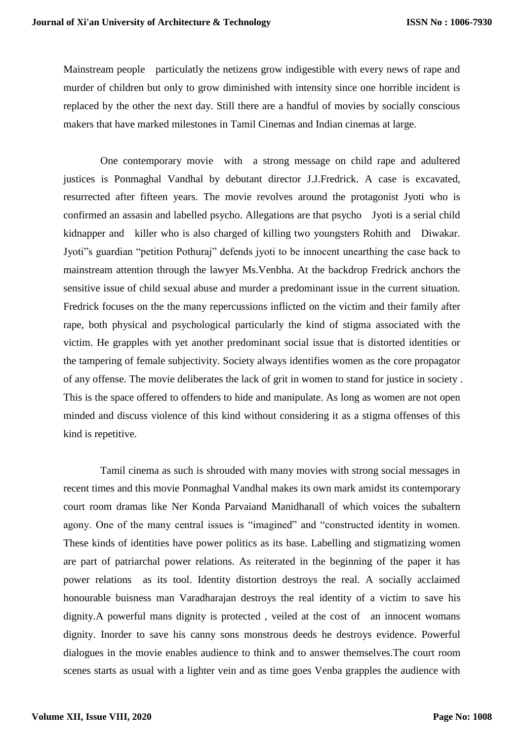Mainstream people particulatly the netizens grow indigestible with every news of rape and murder of children but only to grow diminished with intensity since one horrible incident is replaced by the other the next day. Still there are a handful of movies by socially conscious makers that have marked milestones in Tamil Cinemas and Indian cinemas at large.

One contemporary movie with a strong message on child rape and adultered justices is Ponmaghal Vandhal by debutant director J.J.Fredrick. A case is excavated, resurrected after fifteen years. The movie revolves around the protagonist Jyoti who is confirmed an assasin and labelled psycho. Allegations are that psycho Jyoti is a serial child kidnapper and killer who is also charged of killing two youngsters Rohith and Diwakar. Jyoti"s guardian "petition Pothuraj" defends jyoti to be innocent unearthing the case back to mainstream attention through the lawyer Ms.Venbha. At the backdrop Fredrick anchors the sensitive issue of child sexual abuse and murder a predominant issue in the current situation. Fredrick focuses on the the many repercussions inflicted on the victim and their family after rape, both physical and psychological particularly the kind of stigma associated with the victim. He grapples with yet another predominant social issue that is distorted identities or the tampering of female subjectivity. Society always identifies women as the core propagator of any offense. The movie deliberates the lack of grit in women to stand for justice in society . This is the space offered to offenders to hide and manipulate. As long as women are not open minded and discuss violence of this kind without considering it as a stigma offenses of this kind is repetitive.

Tamil cinema as such is shrouded with many movies with strong social messages in recent times and this movie Ponmaghal Vandhal makes its own mark amidst its contemporary court room dramas like Ner Konda Parvaiand Manidhanall of which voices the subaltern agony. One of the many central issues is "imagined" and "constructed identity in women. These kinds of identities have power politics as its base. Labelling and stigmatizing women are part of patriarchal power relations. As reiterated in the beginning of the paper it has power relations as its tool. Identity distortion destroys the real. A socially acclaimed honourable buisness man Varadharajan destroys the real identity of a victim to save his dignity.A powerful mans dignity is protected , veiled at the cost of an innocent womans dignity. Inorder to save his canny sons monstrous deeds he destroys evidence. Powerful dialogues in the movie enables audience to think and to answer themselves.The court room scenes starts as usual with a lighter vein and as time goes Venba grapples the audience with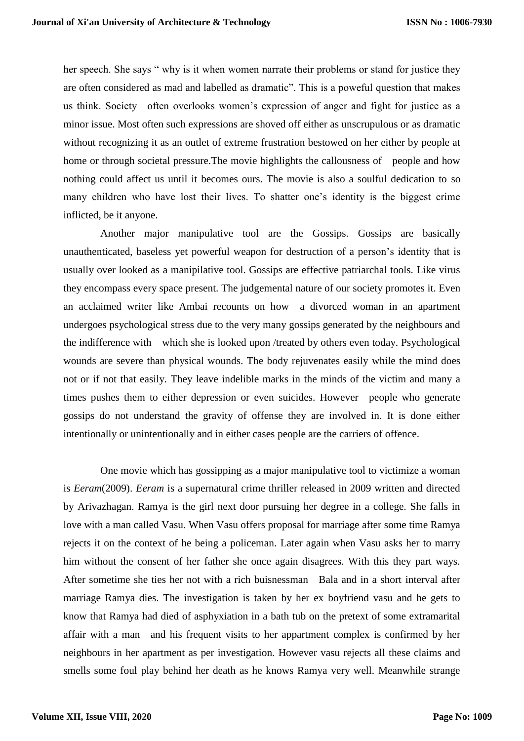her speech. She says " why is it when women narrate their problems or stand for justice they are often considered as mad and labelled as dramatic". This is a poweful question that makes us think. Society often overlooks women's expression of anger and fight for justice as a minor issue. Most often such expressions are shoved off either as unscrupulous or as dramatic without recognizing it as an outlet of extreme frustration bestowed on her either by people at home or through societal pressure.The movie highlights the callousness of people and how nothing could affect us until it becomes ours. The movie is also a soulful dedication to so many children who have lost their lives. To shatter one's identity is the biggest crime inflicted, be it anyone.

Another major manipulative tool are the Gossips. Gossips are basically unauthenticated, baseless yet powerful weapon for destruction of a person's identity that is usually over looked as a manipilative tool. Gossips are effective patriarchal tools. Like virus they encompass every space present. The judgemental nature of our society promotes it. Even an acclaimed writer like Ambai recounts on how a divorced woman in an apartment undergoes psychological stress due to the very many gossips generated by the neighbours and the indifference with which she is looked upon /treated by others even today. Psychological wounds are severe than physical wounds. The body rejuvenates easily while the mind does not or if not that easily. They leave indelible marks in the minds of the victim and many a times pushes them to either depression or even suicides. However people who generate gossips do not understand the gravity of offense they are involved in. It is done either intentionally or unintentionally and in either cases people are the carriers of offence.

One movie which has gossipping as a major manipulative tool to victimize a woman is *Eeram*(2009). *Eeram* is a supernatural crime thriller released in 2009 written and directed by Arivazhagan. Ramya is the girl next door pursuing her degree in a college. She falls in love with a man called Vasu. When Vasu offers proposal for marriage after some time Ramya rejects it on the context of he being a policeman. Later again when Vasu asks her to marry him without the consent of her father she once again disagrees. With this they part ways. After sometime she ties her not with a rich buisnessman Bala and in a short interval after marriage Ramya dies. The investigation is taken by her ex boyfriend vasu and he gets to know that Ramya had died of asphyxiation in a bath tub on the pretext of some extramarital affair with a man and his frequent visits to her appartment complex is confirmed by her neighbours in her apartment as per investigation. However vasu rejects all these claims and smells some foul play behind her death as he knows Ramya very well. Meanwhile strange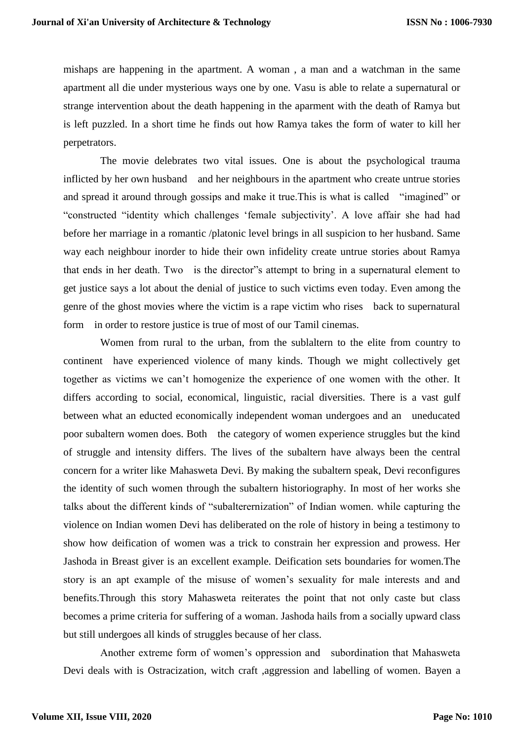mishaps are happening in the apartment. A woman , a man and a watchman in the same apartment all die under mysterious ways one by one. Vasu is able to relate a supernatural or strange intervention about the death happening in the aparment with the death of Ramya but is left puzzled. In a short time he finds out how Ramya takes the form of water to kill her perpetrators.

The movie delebrates two vital issues. One is about the psychological trauma inflicted by her own husband and her neighbours in the apartment who create untrue stories and spread it around through gossips and make it true.This is what is called "imagined" or "constructed "identity which challenges 'female subjectivity'. A love affair she had had before her marriage in a romantic /platonic level brings in all suspicion to her husband. Same way each neighbour inorder to hide their own infidelity create untrue stories about Ramya that ends in her death. Two is the director"s attempt to bring in a supernatural element to get justice says a lot about the denial of justice to such victims even today. Even among the genre of the ghost movies where the victim is a rape victim who rises back to supernatural form in order to restore justice is true of most of our Tamil cinemas.

Women from rural to the urban, from the sublaltern to the elite from country to continent have experienced violence of many kinds. Though we might collectively get together as victims we can't homogenize the experience of one women with the other. It differs according to social, economical, linguistic, racial diversities. There is a vast gulf between what an educted economically independent woman undergoes and an uneducated poor subaltern women does. Both the category of women experience struggles but the kind of struggle and intensity differs. The lives of the subaltern have always been the central concern for a writer like Mahasweta Devi. By making the subaltern speak, Devi reconfigures the identity of such women through the subaltern historiography. In most of her works she talks about the different kinds of "subalterernization" of Indian women. while capturing the violence on Indian women Devi has deliberated on the role of history in being a testimony to show how deification of women was a trick to constrain her expression and prowess. Her Jashoda in Breast giver is an excellent example. Deification sets boundaries for women.The story is an apt example of the misuse of women's sexuality for male interests and and benefits.Through this story Mahasweta reiterates the point that not only caste but class becomes a prime criteria for suffering of a woman. Jashoda hails from a socially upward class but still undergoes all kinds of struggles because of her class.

Another extreme form of women's oppression and subordination that Mahasweta Devi deals with is Ostracization, witch craft ,aggression and labelling of women. Bayen a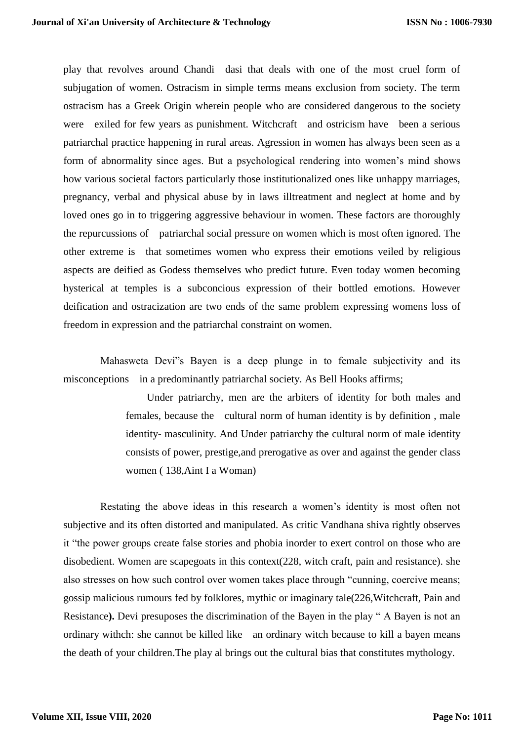play that revolves around Chandi dasi that deals with one of the most cruel form of subjugation of women. Ostracism in simple terms means exclusion from society. The term ostracism has a Greek Origin wherein people who are considered dangerous to the society were exiled for few years as punishment. Witchcraft and ostricism have been a serious patriarchal practice happening in rural areas. Agression in women has always been seen as a form of abnormality since ages. But a psychological rendering into women's mind shows how various societal factors particularly those institutionalized ones like unhappy marriages, pregnancy, verbal and physical abuse by in laws illtreatment and neglect at home and by loved ones go in to triggering aggressive behaviour in women. These factors are thoroughly the repurcussions of patriarchal social pressure on women which is most often ignored. The other extreme is that sometimes women who express their emotions veiled by religious aspects are deified as Godess themselves who predict future. Even today women becoming hysterical at temples is a subconcious expression of their bottled emotions. However deification and ostracization are two ends of the same problem expressing womens loss of freedom in expression and the patriarchal constraint on women.

Mahasweta Devi"s Bayen is a deep plunge in to female subjectivity and its misconceptions in a predominantly patriarchal society. As Bell Hooks affirms;

> Under patriarchy, men are the arbiters of identity for both males and females, because the cultural norm of human identity is by definition , male identity- masculinity. And Under patriarchy the cultural norm of male identity consists of power, prestige,and prerogative as over and against the gender class women ( 138,Aint I a Woman)

Restating the above ideas in this research a women's identity is most often not subjective and its often distorted and manipulated. As critic Vandhana shiva rightly observes it "the power groups create false stories and phobia inorder to exert control on those who are disobedient. Women are scapegoats in this context(228, witch craft, pain and resistance). she also stresses on how such control over women takes place through "cunning, coercive means; gossip malicious rumours fed by folklores, mythic or imaginary tale(226,Witchcraft, Pain and Resistance**).** Devi presuposes the discrimination of the Bayen in the play " A Bayen is not an ordinary withch: she cannot be killed like an ordinary witch because to kill a bayen means the death of your children.The play al brings out the cultural bias that constitutes mythology.